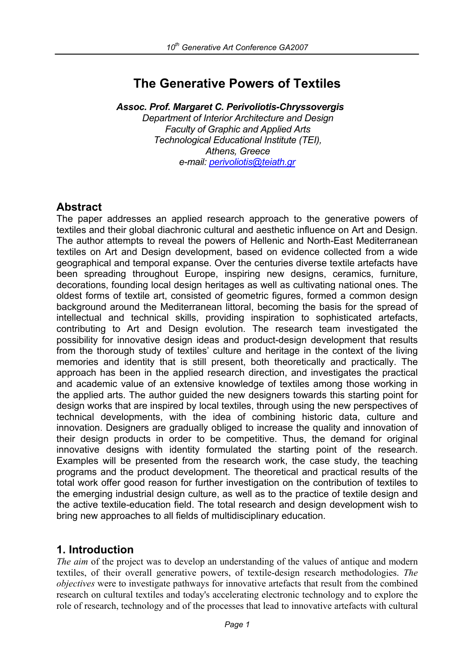# **The Generative Powers of Textiles**

*Assoc. Prof. Margaret C. Perivoliotis-Chryssovergis Department of Interior Architecture and Design Faculty of Graphic and Applied Arts Technological Educational Institute (TEI), Athens, Greece e-mail: perivoliotis@teiath.gr*

### **Abstract**

The paper addresses an applied research approach to the generative powers of textiles and their global diachronic cultural and aesthetic influence on Art and Design. The author attempts to reveal the powers of Hellenic and North-East Mediterranean textiles on Art and Design development, based on evidence collected from a wide geographical and temporal expanse. Over the centuries diverse textile artefacts have been spreading throughout Europe, inspiring new designs, ceramics, furniture, decorations, founding local design heritages as well as cultivating national ones. The oldest forms of textile art, consisted of geometric figures, formed a common design background around the Mediterranean littoral, becoming the basis for the spread of intellectual and technical skills, providing inspiration to sophisticated artefacts, contributing to Art and Design evolution. The research team investigated the possibility for innovative design ideas and product-design development that results from the thorough study of textiles' culture and heritage in the context of the living memories and identity that is still present, both theoretically and practically. The approach has been in the applied research direction, and investigates the practical and academic value of an extensive knowledge of textiles among those working in the applied arts. The author guided the new designers towards this starting point for design works that are inspired by local textiles, through using the new perspectives of technical developments, with the idea of combining historic data, culture and innovation. Designers are gradually obliged to increase the quality and innovation of their design products in order to be competitive. Thus, the demand for original innovative designs with identity formulated the starting point of the research. Examples will be presented from the research work, the case study, the teaching programs and the product development. The theoretical and practical results of the total work offer good reason for further investigation on the contribution of textiles to the emerging industrial design culture, as well as to the practice of textile design and the active textile-education field. The total research and design development wish to bring new approaches to all fields of multidisciplinary education.

# **1. Introduction**

*The aim* of the project was to develop an understanding of the values of antique and modern textiles, of their overall generative powers, of textile-design research methodologies. *The objectives* were to investigate pathways for innovative artefacts that result from the combined research on cultural textiles and today's accelerating electronic technology and to explore the role of research, technology and of the processes that lead to innovative artefacts with cultural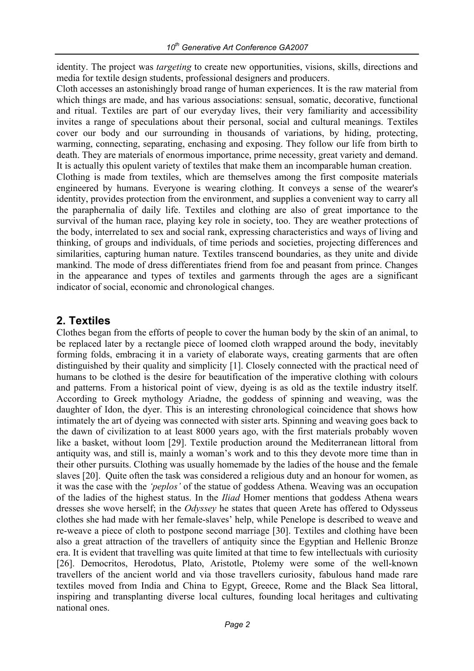identity. The project was *targeting* to create new opportunities, visions, skills, directions and media for textile design students, professional designers and producers.

Cloth accesses an astonishingly broad range of human experiences. It is the raw material from which things are made, and has various associations: sensual, somatic, decorative, functional and ritual. Textiles are part of our everyday lives, their very familiarity and accessibility invites a range of speculations about their personal, social and cultural meanings. Textiles cover our body and our surrounding in thousands of variations, by hiding, protecting, warming, connecting, separating, enchasing and exposing. They follow our life from birth to death. They are materials of enormous importance, prime necessity, great variety and demand. It is actually this opulent variety of textiles that make them an incomparable human creation. Clothing is made from textiles, which are themselves among the first composite materials engineered by humans. Everyone is wearing clothing. It conveys a sense of the wearer's identity, provides protection from the environment, and supplies a convenient way to carry all the paraphernalia of daily life. Textiles and clothing are also of great importance to the survival of the human race, playing key role in society, too. They are weather protections of the body, interrelated to sex and social rank, expressing characteristics and ways of living and thinking, of groups and individuals, of time periods and societies, projecting differences and similarities, capturing human nature. Textiles transcend boundaries, as they unite and divide mankind. The mode of dress differentiates friend from foe and peasant from prince. Changes in the appearance and types of textiles and garments through the ages are a significant indicator of social, economic and chronological changes.

# **2. Textiles**

Clothes began from the efforts of people to cover the human body by the skin of an animal, to be replaced later by a rectangle piece of loomed cloth wrapped around the body, inevitably forming folds, embracing it in a variety of elaborate ways, creating garments that are often distinguished by their quality and simplicity [1]. Closely connected with the practical need of humans to be clothed is the desire for beautification of the imperative clothing with colours and patterns. From a historical point of view, dyeing is as old as the textile industry itself. According to Greek mythology Ariadne, the goddess of spinning and weaving, was the daughter of Idon, the dyer. This is an interesting chronological coincidence that shows how intimately the art of dyeing was connected with sister arts. Spinning and weaving goes back to the dawn of civilization to at least 8000 years ago, with the first materials probably woven like a basket, without loom [29]. Textile production around the Mediterranean littoral from antiquity was, and still is, mainly a woman's work and to this they devote more time than in their other pursuits. Clothing was usually homemade by the ladies of the house and the female slaves [20]. Quite often the task was considered a religious duty and an honour for women, as it was the case with the *'peplos'* of the statue of goddess Athena. Weaving was an occupation of the ladies of the highest status. In the *Iliad* Homer mentions that goddess Athena wears dresses she wove herself; in the *Odyssey* he states that queen Arete has offered to Odysseus clothes she had made with her female-slaves' help, while Penelope is described to weave and re-weave a piece of cloth to postpone second marriage [30]. Textiles and clothing have been also a great attraction of the travellers of antiquity since the Egyptian and Hellenic Bronze era. It is evident that travelling was quite limited at that time to few intellectuals with curiosity [26]. Democritos, Herodotus, Plato, Aristotle, Ptolemy were some of the well-known travellers of the ancient world and via those travellers curiosity, fabulous hand made rare textiles moved from India and China to Egypt, Greece, Rome and the Black Sea littoral, inspiring and transplanting diverse local cultures, founding local heritages and cultivating national ones.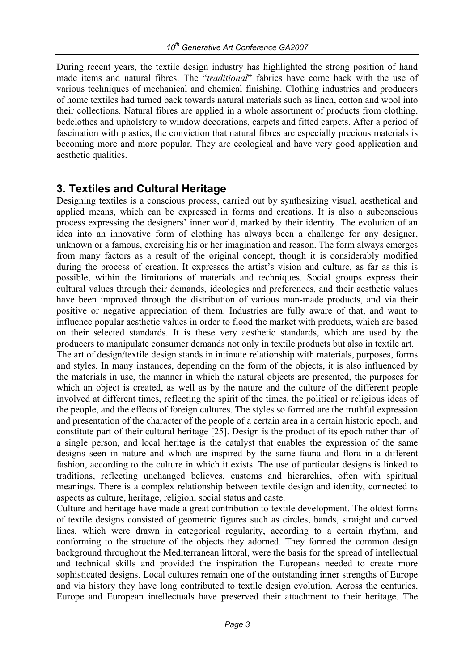During recent years, the textile design industry has highlighted the strong position of hand made items and natural fibres. The "*traditional*" fabrics have come back with the use of various techniques of mechanical and chemical finishing. Clothing industries and producers of home textiles had turned back towards natural materials such as linen, cotton and wool into their collections. Natural fibres are applied in a whole assortment of products from clothing, bedclothes and upholstery to window decorations, carpets and fitted carpets. After a period of fascination with plastics, the conviction that natural fibres are especially precious materials is becoming more and more popular. They are ecological and have very good application and aesthetic qualities.

# **3. Textiles and Cultural Heritage**

Designing textiles is a conscious process, carried out by synthesizing visual, aesthetical and applied means, which can be expressed in forms and creations. It is also a subconscious process expressing the designers' inner world, marked by their identity. The evolution of an idea into an innovative form of clothing has always been a challenge for any designer, unknown or a famous, exercising his or her imagination and reason. The form always emerges from many factors as a result of the original concept, though it is considerably modified during the process of creation. It expresses the artist's vision and culture, as far as this is possible, within the limitations of materials and techniques. Social groups express their cultural values through their demands, ideologies and preferences, and their aesthetic values have been improved through the distribution of various man-made products, and via their positive or negative appreciation of them. Industries are fully aware of that, and want to influence popular aesthetic values in order to flood the market with products, which are based on their selected standards. It is these very aesthetic standards, which are used by the producers to manipulate consumer demands not only in textile products but also in textile art.

The art of design/textile design stands in intimate relationship with materials, purposes, forms and styles. In many instances, depending on the form of the objects, it is also influenced by the materials in use, the manner in which the natural objects are presented, the purposes for which an object is created, as well as by the nature and the culture of the different people involved at different times, reflecting the spirit of the times, the political or religious ideas of the people, and the effects of foreign cultures. The styles so formed are the truthful expression and presentation of the character of the people of a certain area in a certain historic epoch, and constitute part of their cultural heritage [25]. Design is the product of its epoch rather than of a single person, and local heritage is the catalyst that enables the expression of the same designs seen in nature and which are inspired by the same fauna and flora in a different fashion, according to the culture in which it exists. The use of particular designs is linked to traditions, reflecting unchanged believes, customs and hierarchies, often with spiritual meanings. There is a complex relationship between textile design and identity, connected to aspects as culture, heritage, religion, social status and caste.

Culture and heritage have made a great contribution to textile development. The oldest forms of textile designs consisted of geometric figures such as circles, bands, straight and curved lines, which were drawn in categorical regularity, according to a certain rhythm, and conforming to the structure of the objects they adorned. They formed the common design background throughout the Mediterranean littoral, were the basis for the spread of intellectual and technical skills and provided the inspiration the Europeans needed to create more sophisticated designs. Local cultures remain one of the outstanding inner strengths of Europe and via history they have long contributed to textile design evolution. Across the centuries, Europe and European intellectuals have preserved their attachment to their heritage. The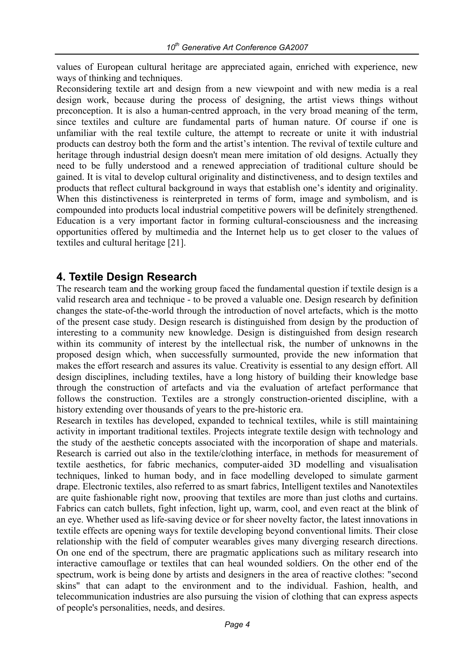values of European cultural heritage are appreciated again, enriched with experience, new ways of thinking and techniques.

Reconsidering textile art and design from a new viewpoint and with new media is a real design work, because during the process of designing, the artist views things without preconception. It is also a human-centred approach, in the very broad meaning of the term, since textiles and culture are fundamental parts of human nature. Of course if one is unfamiliar with the real textile culture, the attempt to recreate or unite it with industrial products can destroy both the form and the artist's intention. The revival of textile culture and heritage through industrial design doesn't mean mere imitation of old designs. Actually they need to be fully understood and a renewed appreciation of traditional culture should be gained. It is vital to develop cultural originality and distinctiveness, and to design textiles and products that reflect cultural background in ways that establish one's identity and originality. When this distinctiveness is reinterpreted in terms of form, image and symbolism, and is compounded into products local industrial competitive powers will be definitely strengthened. Education is a very important factor in forming cultural-consciousness and the increasing opportunities offered by multimedia and the Internet help us to get closer to the values of textiles and cultural heritage [21].

#### **4. Textile Design Research**

The research team and the working group faced the fundamental question if textile design is a valid research area and technique - to be proved a valuable one. Design research by definition changes the state-of-the-world through the introduction of novel artefacts, which is the motto of the present case study. Design research is distinguished from design by the production of interesting to a community new knowledge. Design is distinguished from design research within its community of interest by the intellectual risk, the number of unknowns in the proposed design which, when successfully surmounted, provide the new information that makes the effort research and assures its value. Creativity is essential to any design effort. All design disciplines, including textiles, have a long history of building their knowledge base through the construction of artefacts and via the evaluation of artefact performance that follows the construction. Textiles are a strongly construction-oriented discipline, with a history extending over thousands of years to the pre-historic era.

Research in textiles has developed, expanded to technical textiles, while is still maintaining activity in important traditional textiles. Projects integrate textile design with technology and the study of the aesthetic concepts associated with the incorporation of shape and materials. Research is carried out also in the textile/clothing interface, in methods for measurement of textile aesthetics, for fabric mechanics, computer-aided 3D modelling and visualisation techniques, linked to human body, and in face modelling developed to simulate garment drape. Electronic textiles, also referred to as smart fabrics, Intelligent textiles and Nanotextiles are quite fashionable right now, prooving that textiles are more than just cloths and curtains. Fabrics can catch bullets, fight infection, light up, warm, cool, and even react at the blink of an eye. Whether used as life-saving device or for sheer novelty factor, the latest innovations in textile effects are opening ways for textile developing beyond conventional limits. Their close relationship with the field of computer wearables gives many diverging research directions. On one end of the spectrum, there are pragmatic applications such as military research into interactive camouflage or textiles that can heal wounded soldiers. On the other end of the spectrum, work is being done by artists and designers in the area of reactive clothes: "second skins" that can adapt to the environment and to the individual. Fashion, health, and telecommunication industries are also pursuing the vision of clothing that can express aspects of people's personalities, needs, and desires.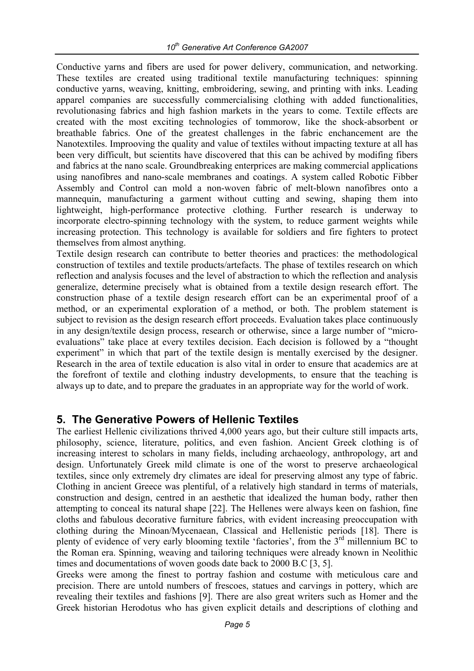Conductive yarns and fibers are used for power delivery, communication, and networking. These textiles are created using traditional textile manufacturing techniques: spinning conductive yarns, weaving, knitting, embroidering, sewing, and printing with inks. Leading apparel companies are successfully commercialising clothing with added functionalities, revolutionasing fabrics and high fashion markets in the years to come. Textile effects are created with the most exciting technologies of tommorow, like the shock-absorbent or breathable fabrics. One of the greatest challenges in the fabric enchancement are the Nanotextiles. Improoving the quality and value of textiles without impacting texture at all has been very difficult, but scientits have discovered that this can be achived by modifing fibers and fabrics at the nano scale. Groundbreaking enterprices are making commercial applications using nanofibres and nano-scale membranes and coatings. A system called Robotic Fibber Assembly and Control can mold a non-woven fabric of melt-blown nanofibres onto a mannequin, manufacturing a garment without cutting and sewing, shaping them into lightweight, high-performance protective clothing. Further research is underway to incorporate electro-spinning technology with the system, to reduce garment weights while increasing protection. This technology is available for soldiers and fire fighters to protect themselves from almost anything.

Textile design research can contribute to better theories and practices: the methodological construction of textiles and textile products/artefacts. The phase of textiles research on which reflection and analysis focuses and the level of abstraction to which the reflection and analysis generalize, determine precisely what is obtained from a textile design research effort. The construction phase of a textile design research effort can be an experimental proof of a method, or an experimental exploration of a method, or both. The problem statement is subject to revision as the design research effort proceeds. Evaluation takes place continuously in any design/textile design process, research or otherwise, since a large number of "microevaluations" take place at every textiles decision. Each decision is followed by a "thought experiment" in which that part of the textile design is mentally exercised by the designer. Research in the area of textile education is also vital in order to ensure that academics are at the forefront of textile and clothing industry developments, to ensure that the teaching is always up to date, and to prepare the graduates in an appropriate way for the world of work.

#### **5. The Generative Powers of Hellenic Textiles**

The earliest Hellenic civilizations thrived 4,000 years ago, but their culture still impacts arts, philosophy, science, literature, politics, and even fashion. Ancient Greek clothing is of increasing interest to scholars in many fields, including archaeology, anthropology, art and design. Unfortunately Greek mild climate is one of the worst to preserve archaeological textiles, since only extremely dry climates are ideal for preserving almost any type of fabric. Clothing in ancient Greece was plentiful, of a relatively high standard in terms of materials, construction and design, centred in an aesthetic that idealized the human body, rather then attempting to conceal its natural shape [22]. The Hellenes were always keen on fashion, fine cloths and fabulous decorative furniture fabrics, with evident increasing preoccupation with clothing during the Minoan/Mycenaean, Classical and Hellenistic periods [18]. There is plenty of evidence of very early blooming textile 'factories', from the 3<sup>rd</sup> millennium BC to the Roman era. Spinning, weaving and tailoring techniques were already known in Neolithic times and documentations of woven goods date back to 2000 B.C [3, 5].

Greeks were among the finest to portray fashion and costume with meticulous care and precision. There are untold numbers of frescoes, statues and carvings in pottery, which are revealing their textiles and fashions [9]. There are also great writers such as Homer and the Greek historian Herodotus who has given explicit details and descriptions of clothing and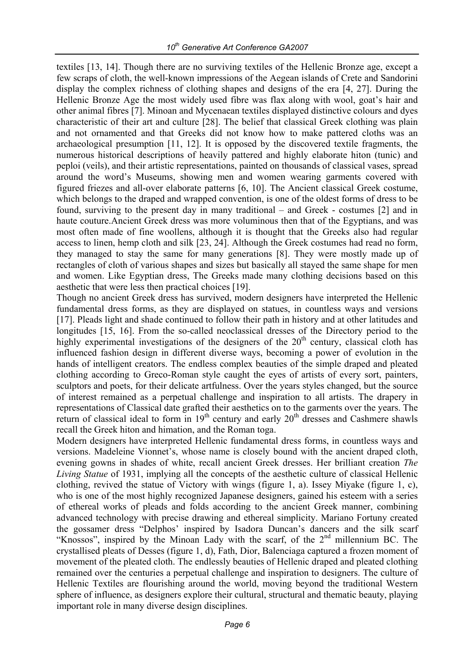textiles [13, 14]. Though there are no surviving textiles of the Hellenic Bronze age, except a few scraps of cloth, the well-known impressions of the Aegean islands of Crete and Sandorini display the complex richness of clothing shapes and designs of the era [4, 27]. During the Hellenic Bronze Age the most widely used fibre was flax along with wool, goat's hair and other animal fibres [7]. Minoan and Mycenaean textiles displayed distinctive colours and dyes characteristic of their art and culture [28]. The belief that classical Greek clothing was plain and not ornamented and that Greeks did not know how to make pattered cloths was an archaeological presumption [11, 12]. It is opposed by the discovered textile fragments, the numerous historical descriptions of heavily pattered and highly elaborate hiton (tunic) and peploi (veils), and their artistic representations, painted on thousands of classical vases, spread around the word's Museums, showing men and women wearing garments covered with figured friezes and all-over elaborate patterns [6, 10]. The Ancient classical Greek costume, which belongs to the draped and wrapped convention, is one of the oldest forms of dress to be found, surviving to the present day in many traditional – and Greek - costumes [2] and in haute couture.Ancient Greek dress was more voluminous then that of the Egyptians, and was most often made of fine woollens, although it is thought that the Greeks also had regular access to linen, hemp cloth and silk [23, 24]. Although the Greek costumes had read no form, they managed to stay the same for many generations [8]. They were mostly made up of rectangles of cloth of various shapes and sizes but basically all stayed the same shape for men and women. Like Egyptian dress, The Greeks made many clothing decisions based on this aesthetic that were less then practical choices [19].

Though no ancient Greek dress has survived, modern designers have interpreted the Hellenic fundamental dress forms, as they are displayed on statues, in countless ways and versions [17]. Pleads light and shade continued to follow their path in history and at other latitudes and longitudes [15, 16]. From the so-called neoclassical dresses of the Directory period to the highly experimental investigations of the designers of the  $20<sup>th</sup>$  century, classical cloth has influenced fashion design in different diverse ways, becoming a power of evolution in the hands of intelligent creators. The endless complex beauties of the simple draped and pleated clothing according to Greco-Roman style caught the eyes of artists of every sort, painters, sculptors and poets, for their delicate artfulness. Over the years styles changed, but the source of interest remained as a perpetual challenge and inspiration to all artists. The drapery in representations of Classical date grafted their aesthetics on to the garments over the years. The return of classical ideal to form in 19<sup>th</sup> century and early 20<sup>th</sup> dresses and Cashmere shawls recall the Greek hiton and himation, and the Roman toga.

Modern designers have interpreted Hellenic fundamental dress forms, in countless ways and versions. Madeleine Vionnet's, whose name is closely bound with the ancient draped cloth, evening gowns in shades of white, recall ancient Greek dresses. Her brilliant creation *The Living Statue* of 1931, implying all the concepts of the aesthetic culture of classical Hellenic clothing, revived the statue of Victory with wings (figure 1, a). Issey Miyake (figure 1, c), who is one of the most highly recognized Japanese designers, gained his esteem with a series of ethereal works of pleads and folds according to the ancient Greek manner, combining advanced technology with precise drawing and ethereal simplicity. Mariano Fortuny created the gossamer dress "Delphos' inspired by Isadora Duncan's dancers and the silk scarf "Knossos", inspired by the Minoan Lady with the scarf, of the  $2<sup>nd</sup>$  millennium BC. The crystallised pleats of Desses (figure 1, d), Fath, Dior, Balenciaga captured a frozen moment of movement of the pleated cloth. The endlessly beauties of Hellenic draped and pleated clothing remained over the centuries a perpetual challenge and inspiration to designers. The culture of Hellenic Textiles are flourishing around the world, moving beyond the traditional Western sphere of influence, as designers explore their cultural, structural and thematic beauty, playing important role in many diverse design disciplines.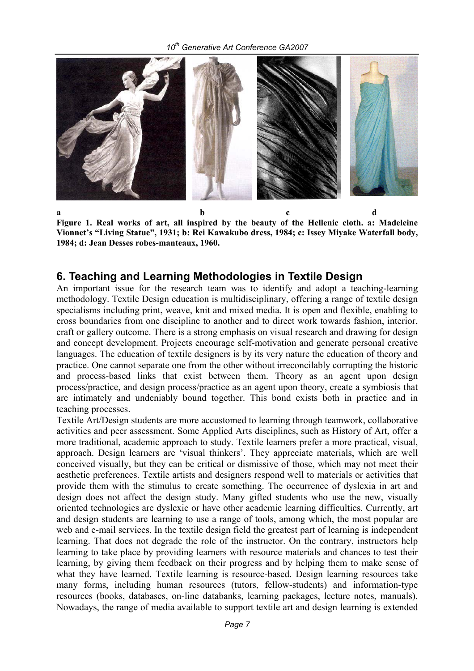

**a** b c d **Figure 1. Real works of art, all inspired by the beauty of the Hellenic cloth. a: Madeleine Vionnet's "Living Statue", 1931; b: Rei Kawakubo dress, 1984; c: Issey Miyake Waterfall body, 1984; d: Jean Desses robes-manteaux, 1960.** 

#### **6. Teaching and Learning Methodologies in Textile Design**

An important issue for the research team was to identify and adopt a teaching-learning methodology. Textile Design education is multidisciplinary, offering a range of textile design specialisms including print, weave, knit and mixed media. It is open and flexible, enabling to cross boundaries from one discipline to another and to direct work towards fashion, interior, craft or gallery outcome. There is a strong emphasis on visual research and drawing for design and concept development. Projects encourage self-motivation and generate personal creative languages. The education of textile designers is by its very nature the education of theory and practice. One cannot separate one from the other without irreconcilably corrupting the historic and process-based links that exist between them. Theory as an agent upon design process/practice, and design process/practice as an agent upon theory, create a symbiosis that are intimately and undeniably bound together. This bond exists both in practice and in teaching processes.

Textile Art/Design students are more accustomed to learning through teamwork, collaborative activities and peer assessment. Some Applied Arts disciplines, such as History of Art, offer a more traditional, academic approach to study. Textile learners prefer a more practical, visual, approach. Design learners are 'visual thinkers'. They appreciate materials, which are well conceived visually, but they can be critical or dismissive of those, which may not meet their aesthetic preferences. Textile artists and designers respond well to materials or activities that provide them with the stimulus to create something. The occurrence of dyslexia in art and design does not affect the design study. Many gifted students who use the new, visually oriented technologies are dyslexic or have other academic learning difficulties. Currently, art and design students are learning to use a range of tools, among which, the most popular are web and e-mail services. In the textile design field the greatest part of learning is independent learning. That does not degrade the role of the instructor. On the contrary, instructors help learning to take place by providing learners with resource materials and chances to test their learning, by giving them feedback on their progress and by helping them to make sense of what they have learned. Textile learning is resource-based. Design learning resources take many forms, including human resources (tutors, fellow-students) and information-type resources (books, databases, on-line databanks, learning packages, lecture notes, manuals). Nowadays, the range of media available to support textile art and design learning is extended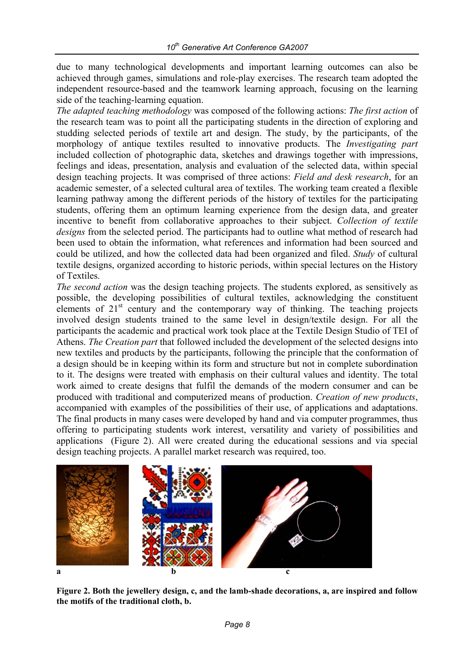due to many technological developments and important learning outcomes can also be achieved through games, simulations and role-play exercises. The research team adopted the independent resource-based and the teamwork learning approach, focusing on the learning side of the teaching-learning equation.

*The adapted teaching methodology* was composed of the following actions: *The first action* of the research team was to point all the participating students in the direction of exploring and studding selected periods of textile art and design. The study, by the participants, of the morphology of antique textiles resulted to innovative products. The *Investigating part* included collection of photographic data, sketches and drawings together with impressions, feelings and ideas, presentation, analysis and evaluation of the selected data, within special design teaching projects. It was comprised of three actions: *Field and desk research*, for an academic semester, of a selected cultural area of textiles. The working team created a flexible learning pathway among the different periods of the history of textiles for the participating students, offering them an optimum learning experience from the design data, and greater incentive to benefit from collaborative approaches to their subject. *Collection of textile designs* from the selected period. The participants had to outline what method of research had been used to obtain the information, what references and information had been sourced and could be utilized, and how the collected data had been organized and filed. *Study* of cultural textile designs, organized according to historic periods, within special lectures on the History of Textiles.

*The second action* was the design teaching projects. The students explored, as sensitively as possible, the developing possibilities of cultural textiles, acknowledging the constituent elements of  $21<sup>st</sup>$  century and the contemporary way of thinking. The teaching projects involved design students trained to the same level in design/textile design. For all the participants the academic and practical work took place at the Textile Design Studio of TEI of Athens. *The Creation part* that followed included the development of the selected designs into new textiles and products by the participants, following the principle that the conformation of a design should be in keeping within its form and structure but not in complete subordination to it. The designs were treated with emphasis on their cultural values and identity. The total work aimed to create designs that fulfil the demands of the modern consumer and can be produced with traditional and computerized means of production. *Creation of new products*, accompanied with examples of the possibilities of their use, of applications and adaptations. The final products in many cases were developed by hand and via computer programmes, thus offering to participating students work interest, versatility and variety of possibilities and applications (Figure 2). All were created during the educational sessions and via special design teaching projects. A parallel market research was required, too.



**Figure 2. Both the jewellery design, c, and the lamb-shade decorations, a, are inspired and follow the motifs of the traditional cloth, b.**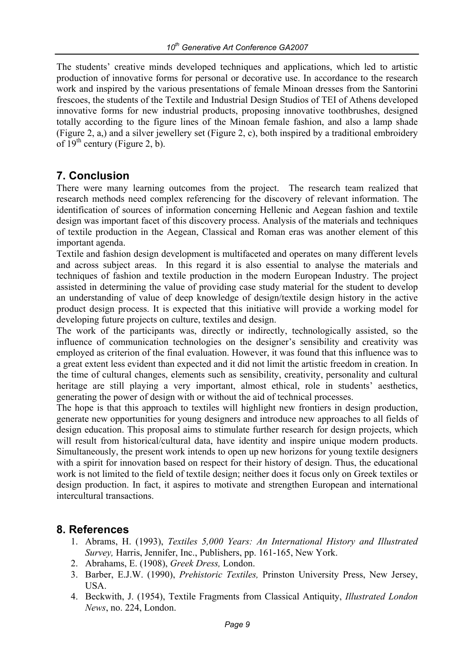The students' creative minds developed techniques and applications, which led to artistic production of innovative forms for personal or decorative use. In accordance to the research work and inspired by the various presentations of female Minoan dresses from the Santorini frescoes, the students of the Textile and Industrial Design Studios of TEI of Athens developed innovative forms for new industrial products, proposing innovative toothbrushes, designed totally according to the figure lines of the Minoan female fashion, and also a lamp shade (Figure 2, a,) and a silver jewellery set (Figure 2, c), both inspired by a traditional embroidery of  $19<sup>th</sup>$  century (Figure 2, b).

# **7. Conclusion**

There were many learning outcomes from the project. The research team realized that research methods need complex referencing for the discovery of relevant information. The identification of sources of information concerning Hellenic and Aegean fashion and textile design was important facet of this discovery process. Analysis of the materials and techniques of textile production in the Aegean, Classical and Roman eras was another element of this important agenda.

Textile and fashion design development is multifaceted and operates on many different levels and across subject areas. In this regard it is also essential to analyse the materials and techniques of fashion and textile production in the modern European Industry. The project assisted in determining the value of providing case study material for the student to develop an understanding of value of deep knowledge of design/textile design history in the active product design process. It is expected that this initiative will provide a working model for developing future projects on culture, textiles and design.

The work of the participants was, directly or indirectly, technologically assisted, so the influence of communication technologies on the designer's sensibility and creativity was employed as criterion of the final evaluation. However, it was found that this influence was to a great extent less evident than expected and it did not limit the artistic freedom in creation. In the time of cultural changes, elements such as sensibility, creativity, personality and cultural heritage are still playing a very important, almost ethical, role in students' aesthetics, generating the power of design with or without the aid of technical processes.

The hope is that this approach to textiles will highlight new frontiers in design production, generate new opportunities for young designers and introduce new approaches to all fields of design education. This proposal aims to stimulate further research for design projects, which will result from historical/cultural data, have identity and inspire unique modern products. Simultaneously, the present work intends to open up new horizons for young textile designers with a spirit for innovation based on respect for their history of design. Thus, the educational work is not limited to the field of textile design; neither does it focus only on Greek textiles or design production. In fact, it aspires to motivate and strengthen European and international intercultural transactions.

# **8. References**

- 1. Abrams, H. (1993), *Textiles 5,000 Years: An International History and Illustrated Survey,* Harris, Jennifer, Inc., Publishers, pp. 161-165, New York.
- 2. Abrahams, E. (1908), *Greek Dress,* London.
- 3. Barber, E.J.W. (1990), *Prehistoric Textiles,* Prinston University Press, New Jersey, USA.
- 4. Beckwith, J. (1954), Textile Fragments from Classical Antiquity, *Illustrated London News*, no. 224, London.